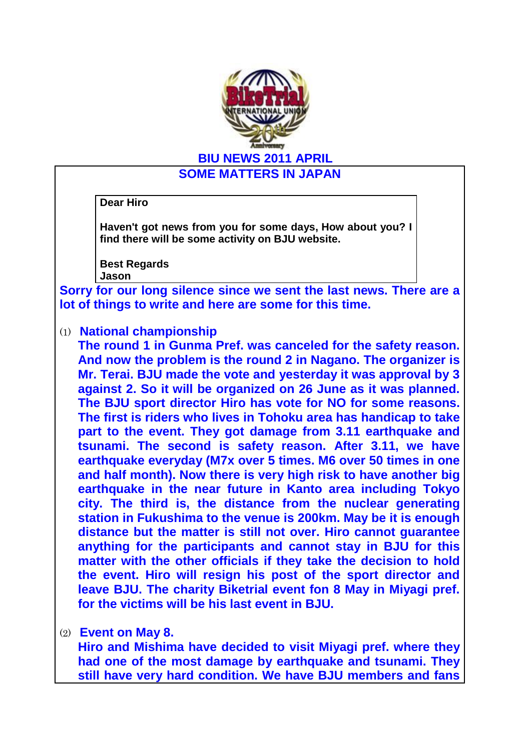

**BIU NEWS 2011 APRIL**

**SOME MATTERS IN JAPAN**

**Dear Hiro**

**Haven't got news from you for some days, How about you? I find there will be some activity on BJU website.**

**Best Regards Jason**

**Sorry for our long silence since we sent the last news. There are a lot of things to write and here are some for this time.**

(1) **National championship** 

**The round 1 in Gunma Pref. was canceled for the safety reason. And now the problem is the round 2 in Nagano. The organizer is Mr. Terai. BJU made the vote and yesterday it was approval by 3 against 2. So it will be organized on 26 June as it was planned. The BJU sport director Hiro has vote for NO for some reasons. The first is riders who lives in Tohoku area has handicap to take part to the event. They got damage from 3.11 earthquake and tsunami. The second is safety reason. After 3.11, we have earthquake everyday (M7x over 5 times. M6 over 50 times in one and half month). Now there is very high risk to have another big earthquake in the near future in Kanto area including Tokyo city. The third is, the distance from the nuclear generating station in Fukushima to the venue is 200km. May be it is enough distance but the matter is still not over. Hiro cannot guarantee anything for the participants and cannot stay in BJU for this matter with the other officials if they take the decision to hold the event. Hiro will resign his post of the sport director and leave BJU. The charity Biketrial event fon 8 May in Miyagi pref. for the victims will be his last event in BJU.** 

## (2) **Event on May 8.**

**Hiro and Mishima have decided to visit Miyagi pref. where they had one of the most damage by earthquake and tsunami. They still have very hard condition. We have BJU members and fans**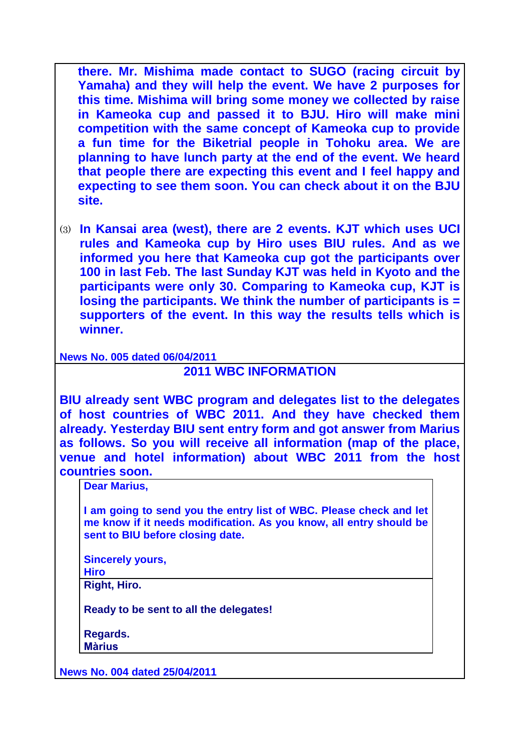**there. Mr. Mishima made contact to SUGO (racing circuit by Yamaha) and they will help the event. We have 2 purposes for this time. Mishima will bring some money we collected by raise in Kameoka cup and passed it to BJU. Hiro will make mini competition with the same concept of Kameoka cup to provide a fun time for the Biketrial people in Tohoku area. We are planning to have lunch party at the end of the event. We heard that people there are expecting this event and I feel happy and expecting to see them soon. You can check about it on the BJU site.**

(3) **In Kansai area (west), there are 2 events. KJT which uses UCI rules and Kameoka cup by Hiro uses BIU rules. And as we informed you here that Kameoka cup got the participants over 100 in last Feb. The last Sunday KJT was held in Kyoto and the participants were only 30. Comparing to Kameoka cup, KJT is losing the participants. We think the number of participants is = supporters of the event. In this way the results tells which is winner.** 

**News No. 005 dated 06/04/2011**

## **2011 WBC INFORMATION**

**BIU already sent WBC program and delegates list to the delegates of host countries of WBC 2011. And they have checked them already. Yesterday BIU sent entry form and got answer from Marius as follows. So you will receive all information (map of the place, venue and hotel information) about WBC 2011 from the host countries soon.** 

**Dear Marius,**

**I am going to send you the entry list of WBC. Please check and let me know if it needs modification. As you know, all entry should be sent to BIU before closing date.**

**Sincerely yours, Hiro**

**Right, Hiro.** 

**Ready to be sent to all the delegates!**

**Regards. Màrius**

**News No. 004 dated 25/04/2011**